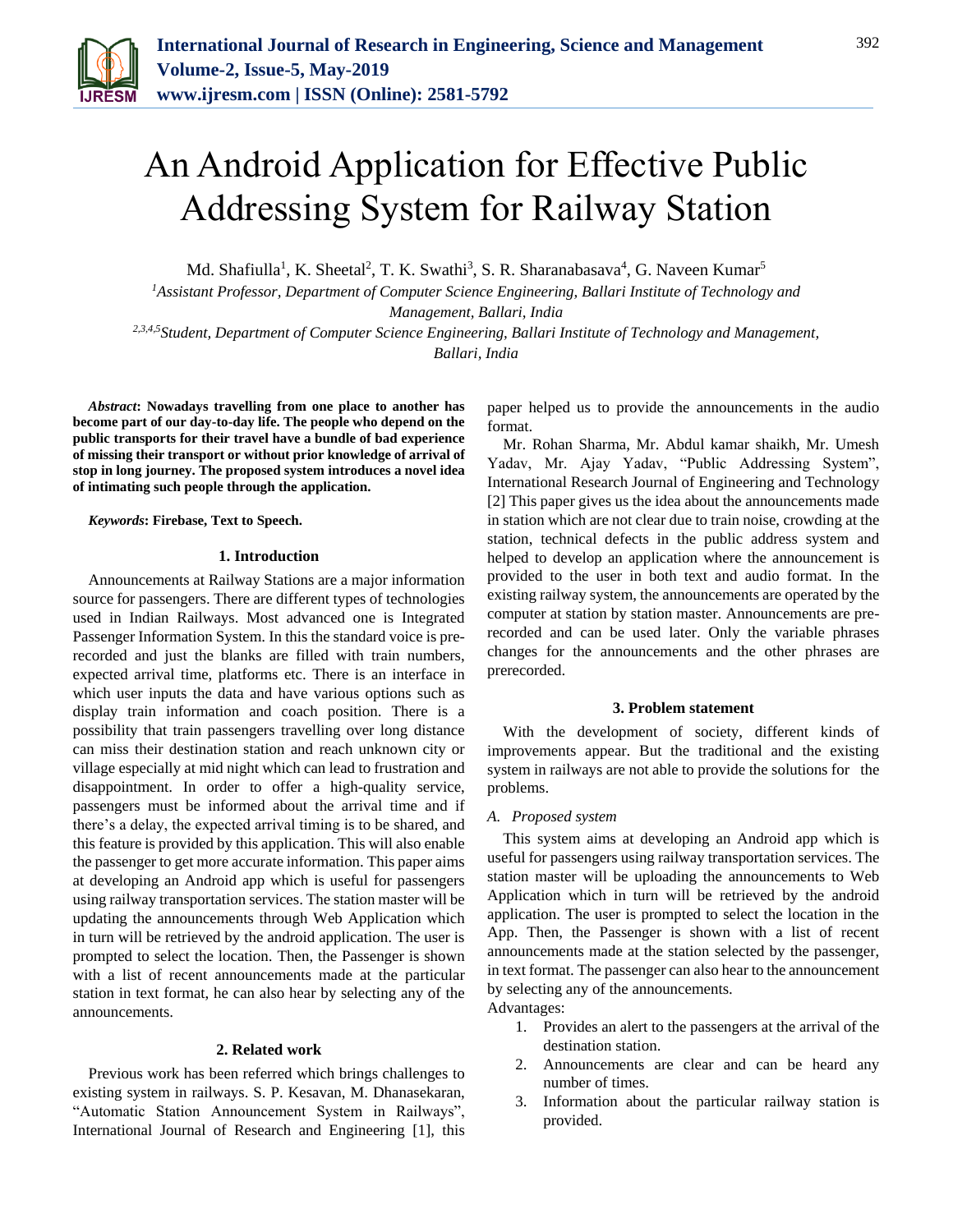

# An Android Application for Effective Public Addressing System for Railway Station

Md. Shafiulla<sup>1</sup>, K. Sheetal<sup>2</sup>, T. K. Swathi<sup>3</sup>, S. R. Sharanabasava<sup>4</sup>, G. Naveen Kumar<sup>5</sup>

*<sup>1</sup>Assistant Professor, Department of Computer Science Engineering, Ballari Institute of Technology and Management, Ballari, India*

*2,3,4,5Student, Department of Computer Science Engineering, Ballari Institute of Technology and Management, Ballari, India*

*Abstract***: Nowadays travelling from one place to another has become part of our day-to-day life. The people who depend on the public transports for their travel have a bundle of bad experience of missing their transport or without prior knowledge of arrival of stop in long journey. The proposed system introduces a novel idea of intimating such people through the application.** 

*Keywords***: Firebase, Text to Speech.** 

## **1. Introduction**

Announcements at Railway Stations are a major information source for passengers. There are different types of technologies used in Indian Railways. Most advanced one is Integrated Passenger Information System. In this the standard voice is prerecorded and just the blanks are filled with train numbers, expected arrival time, platforms etc. There is an interface in which user inputs the data and have various options such as display train information and coach position. There is a possibility that train passengers travelling over long distance can miss their destination station and reach unknown city or village especially at mid night which can lead to frustration and disappointment. In order to offer a high-quality service, passengers must be informed about the arrival time and if there's a delay, the expected arrival timing is to be shared, and this feature is provided by this application. This will also enable the passenger to get more accurate information. This paper aims at developing an Android app which is useful for passengers using railway transportation services. The station master will be updating the announcements through Web Application which in turn will be retrieved by the android application. The user is prompted to select the location. Then, the Passenger is shown with a list of recent announcements made at the particular station in text format, he can also hear by selecting any of the announcements.

## **2. Related work**

Previous work has been referred which brings challenges to existing system in railways. S. P. Kesavan, M. Dhanasekaran, "Automatic Station Announcement System in Railways", International Journal of Research and Engineering [1], this paper helped us to provide the announcements in the audio format.

Mr. Rohan Sharma, Mr. Abdul kamar shaikh, Mr. Umesh Yadav, Mr. Ajay Yadav, "Public Addressing System", International Research Journal of Engineering and Technology [2] This paper gives us the idea about the announcements made in station which are not clear due to train noise, crowding at the station, technical defects in the public address system and helped to develop an application where the announcement is provided to the user in both text and audio format. In the existing railway system, the announcements are operated by the computer at station by station master. Announcements are prerecorded and can be used later. Only the variable phrases changes for the announcements and the other phrases are prerecorded.

### **3. Problem statement**

With the development of society, different kinds of improvements appear. But the traditional and the existing system in railways are not able to provide the solutions for the problems.

#### *A. Proposed system*

This system aims at developing an Android app which is useful for passengers using railway transportation services. The station master will be uploading the announcements to Web Application which in turn will be retrieved by the android application. The user is prompted to select the location in the App. Then, the Passenger is shown with a list of recent announcements made at the station selected by the passenger, in text format. The passenger can also hear to the announcement by selecting any of the announcements.

Advantages:

- 1. Provides an alert to the passengers at the arrival of the destination station.
- 2. Announcements are clear and can be heard any number of times.
- 3. Information about the particular railway station is provided.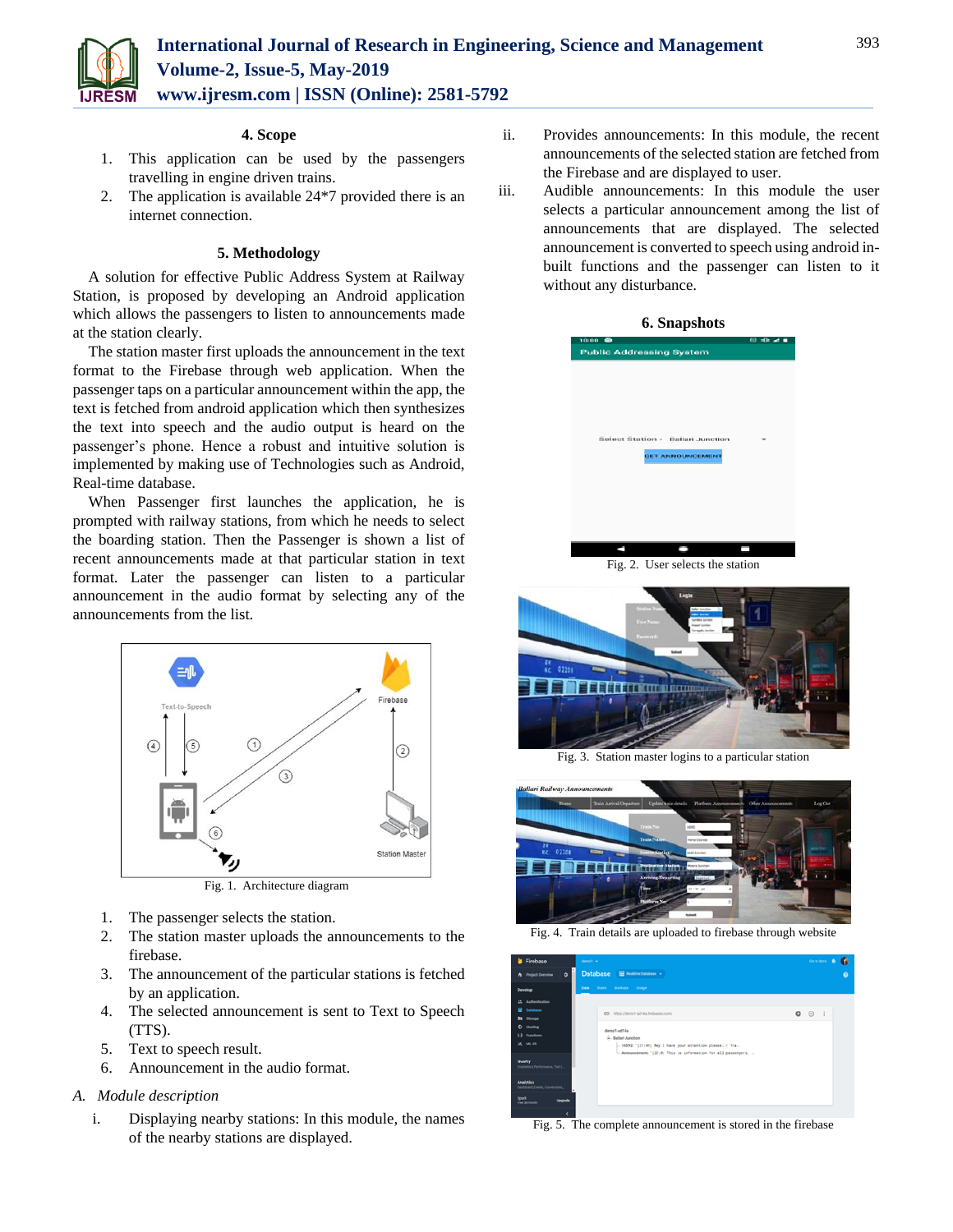

## **4. Scope**

- 1. This application can be used by the passengers travelling in engine driven trains.
- 2. The application is available 24\*7 provided there is an internet connection.

## **5. Methodology**

A solution for effective Public Address System at Railway Station, is proposed by developing an Android application which allows the passengers to listen to announcements made at the station clearly.

The station master first uploads the announcement in the text format to the Firebase through web application. When the passenger taps on a particular announcement within the app, the text is fetched from android application which then synthesizes the text into speech and the audio output is heard on the passenger's phone. Hence a robust and intuitive solution is implemented by making use of Technologies such as Android, Real-time database.

When Passenger first launches the application, he is prompted with railway stations, from which he needs to select the boarding station. Then the Passenger is shown a list of recent announcements made at that particular station in text format. Later the passenger can listen to a particular announcement in the audio format by selecting any of the announcements from the list.



Fig. 1. Architecture diagram

- 1. The passenger selects the station.
- 2. The station master uploads the announcements to the firebase.
- 3. The announcement of the particular stations is fetched by an application.
- 4. The selected announcement is sent to Text to Speech (TTS).
- 5. Text to speech result.
- 6. Announcement in the audio format.

## *A. Module description*

i. Displaying nearby stations: In this module, the names of the nearby stations are displayed.

- ii. Provides announcements: In this module, the recent announcements of the selected station are fetched from the Firebase and are displayed to user.
- iii. Audible announcements: In this module the user selects a particular announcement among the list of announcements that are displayed. The selected announcement is converted to speech using android inbuilt functions and the passenger can listen to it without any disturbance.





Fig. 3. Station master logins to a particular station



Fig. 4. Train details are uploaded to firebase through website

| Firebase                                                   | demot w                                                                                                                                                        | Go to docs<br>٠                   |
|------------------------------------------------------------|----------------------------------------------------------------------------------------------------------------------------------------------------------------|-----------------------------------|
| $\bullet$<br><b>A</b> Project Overview                     | Database S matine baskase +                                                                                                                                    | $\bullet$                         |
| Develop                                                    | Data Rules Backups Usage                                                                                                                                       |                                   |
| 21 Authentication<br><b>B</b> Delabase<br><b>b</b> Storage | 00 https://demp1-ad14a.frebaselo.com/                                                                                                                          | $\bullet$ $\circ$<br>$\mathbb{R}$ |
| C Hosting<br>[-] Functions<br><b><i>M. M.KI</i></b>        | demo1-ad14a<br>x-Ballari Junction<br>-16592: '[21:49] May I have your attention please! Tra<br>- Announcement: "(22:0) This is information for all passengers, |                                   |
| Quality<br>Crashfelos, Performance, Text L.                |                                                                                                                                                                |                                   |
| <b>Analytics</b><br>Dashboard, Events, Conversions         |                                                                                                                                                                |                                   |
| Spark<br>oppade<br>Free Stresser                           |                                                                                                                                                                |                                   |

Fig. 5. The complete announcement is stored in the firebase